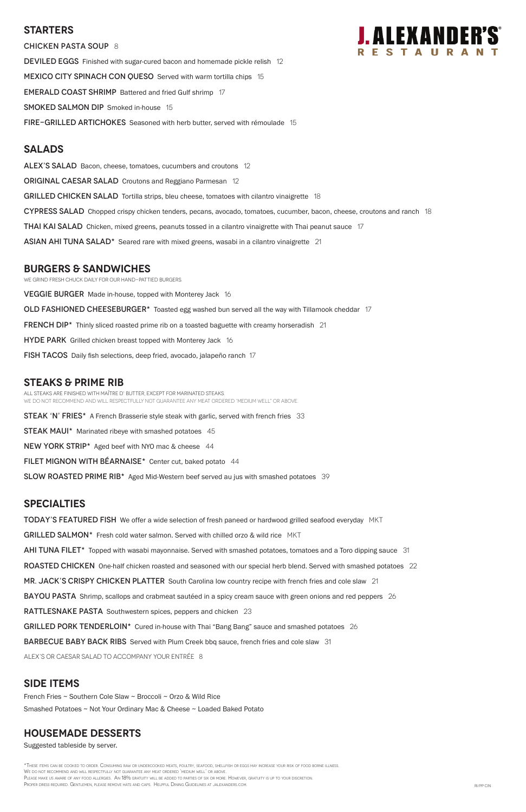### **Starters**

CHICKEN PASTA SOUP 8 DEVILED EGGS Finished with sugar-cured bacon and homemade pickle relish 12 MEXICO CITY SPINACH CON QUESO Served with warm tortilla chips 15 **EMERALD COAST SHRIMP** Battered and fried Gulf shrimp 17 **SMOKED SALMON DIP** Smoked in-house 15 **FIRE-GRILLED ARTICHOKES** Seasoned with herb butter, served with rémoulade 15

# **Salads**

ALEX'S SALAD Bacon, cheese, tomatoes, cucumbers and croutons 12 **ORIGINAL CAESAR SALAD** Croutons and Reggiano Parmesan 12 GRILLED CHICKEN SALAD Tortilla strips, bleu cheese, tomatoes with cilantro vinaigrette 18 CYPRESS SALAD Chopped crispy chicken tenders, pecans, avocado, tomatoes, cucumber, bacon, cheese, croutons and ranch 18 **THAI KAI SALAD** Chicken, mixed greens, peanuts tossed in a cilantro vinaigrette with Thai peanut sauce 17 ASIAN AHI TUNA SALAD<sup>\*</sup> Seared rare with mixed greens, wasabi in a cilantro vinaigrette 21

# **burgers & Sandwiches**

We grind fresh chuck daily for our hand-pattied burgers.

**VEGGIE BURGER** Made in-house, topped with Monterey Jack 16 OLD FASHIONED CHEESEBURGER\* Toasted egg washed bun served all the way with Tillamook cheddar 17 FRENCH DIP\* Thinly sliced roasted prime rib on a toasted baguette with creamy horseradish 21 HYDE PARK Grilled chicken breast topped with Monterey Jack 16 **FISH TACOS** Daily fish selections, deep fried, avocado, jalapeño ranch 17

TODAY'S FEATURED FISH We offer a wide selection of fresh paneed or hardwood grilled seafood everyday MKT GRILLED SALMON\* Fresh cold water salmon. Served with chilled orzo & wild rice MKT AHI TUNA FILET<sup>\*</sup> Topped with wasabi mayonnaise. Served with smashed potatoes, tomatoes and a Toro dipping sauce 31 ROASTED CHICKEN One-half chicken roasted and seasoned with our special herb blend. Served with smashed potatoes 22 MR. JACK'S CRISPY CHICKEN PLATTER South Carolina low country recipe with french fries and cole slaw 21

BAYOU PASTA Shrimp, scallops and crabmeat sautéed in a spicy cream sauce with green onions and red peppers 26



RATTLESNAKE PASTA Southwestern spices, peppers and chicken 23

GRILLED PORK TENDERLOIN\* Cured in-house with Thai "Bang Bang" sauce and smashed potatoes 26

**BARBECUE BABY BACK RIBS** Served with Plum Creek bbq sauce, french fries and cole slaw 31

# **STEAKS & Prime Rib**

All steaks are finished with Maître d' butter, except for marinated steaks. WE DO NOT RECOMMEND AND WILL RESPECTFULLY NOT GUARANTEE ANY MEAT ORDERED 'MEDIUM WELL" OR ABOVE.

**STEAK 'N' FRIES\*** A French Brasserie style steak with garlic, served with french fries 33

**STEAK MAUI\*** Marinated ribeye with smashed potatoes 45

NEW YORK STRIP\* Aged beef with NYO mac & cheese 44

FILET MIGNON WITH BÉARNAISE\* Center cut, baked potato 44

SLOW ROASTED PRIME RIB<sup>\*</sup> Aged Mid-Western beef served au jus with smashed potatoes 39

\*These items can be cooked to order. Consuming raw or undercooked meats, poultry, seafood, shellfish or eggs may increase your risk of food borne illness. We do not recommend and will respectfully not guarantee any meat ordered 'medium well' or above. PLEASE MAKE US AWARE OF ANY FOOD ALLERGIES. AN 18% GRATUITY WILL BE ADDED TO PARTIES OF SIX OR MORE. HOWEVER, GRATUITY IS UP TO YOUR DISCRETION. PROPER DRESS REQUIRED. GENTLEMEN, PLEASE REMOVE HATS AND CAPS. HELPFUL DINING GUIDELINES AT JALEXANDERS.COM. THE STATE ON A STATE ON A STATE ON A STATE ON A STATE ON A STATE ON A RI/PP CIN

## **SPECIALTIES**

ALEX's or Caesar salad to accompany your entrée 8

## **SIDE ITEMS**

French Fries ~ Southern Cole Slaw ~ Broccoli ~ Orzo & Wild Rice

Smashed Potatoes ~ Not Your Ordinary Mac & Cheese ~ Loaded Baked Potato

### **housemade DESSERTS**

Suggested tableside by server.